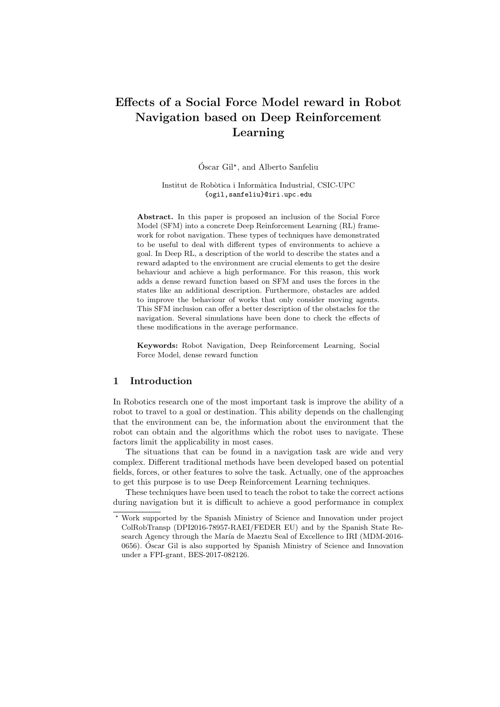# Effects of a Social Force Model reward in Robot Navigation based on Deep Reinforcement Learning

Óscar Gil<sup>\*</sup>, and Alberto Sanfeliu

Institut de Robòtica i Informàtica Industrial, CSIC-UPC {ogil,sanfeliu}@iri.upc.edu

Abstract. In this paper is proposed an inclusion of the Social Force Model (SFM) into a concrete Deep Reinforcement Learning (RL) framework for robot navigation. These types of techniques have demonstrated to be useful to deal with different types of environments to achieve a goal. In Deep RL, a description of the world to describe the states and a reward adapted to the environment are crucial elements to get the desire behaviour and achieve a high performance. For this reason, this work adds a dense reward function based on SFM and uses the forces in the states like an additional description. Furthermore, obstacles are added to improve the behaviour of works that only consider moving agents. This SFM inclusion can offer a better description of the obstacles for the navigation. Several simulations have been done to check the effects of these modifications in the average performance.

Keywords: Robot Navigation, Deep Reinforcement Learning, Social Force Model, dense reward function

# 1 Introduction

In Robotics research one of the most important task is improve the ability of a robot to travel to a goal or destination. This ability depends on the challenging that the environment can be, the information about the environment that the robot can obtain and the algorithms which the robot uses to navigate. These factors limit the applicability in most cases.

The situations that can be found in a navigation task are wide and very complex. Different traditional methods have been developed based on potential fields, forces, or other features to solve the task. Actually, one of the approaches to get this purpose is to use Deep Reinforcement Learning techniques.

These techniques have been used to teach the robot to take the correct actions during navigation but it is difficult to achieve a good performance in complex

<sup>?</sup> Work supported by the Spanish Ministry of Science and Innovation under project ColRobTransp (DPI2016-78957-RAEI/FEDER EU) and by the Spanish State Research Agency through the María de Maeztu Seal of Excellence to IRI (MDM-2016-0656). Oscar Gil is also supported by Spanish Ministry of Science and Innovation ´ under a FPI-grant, BES-2017-082126.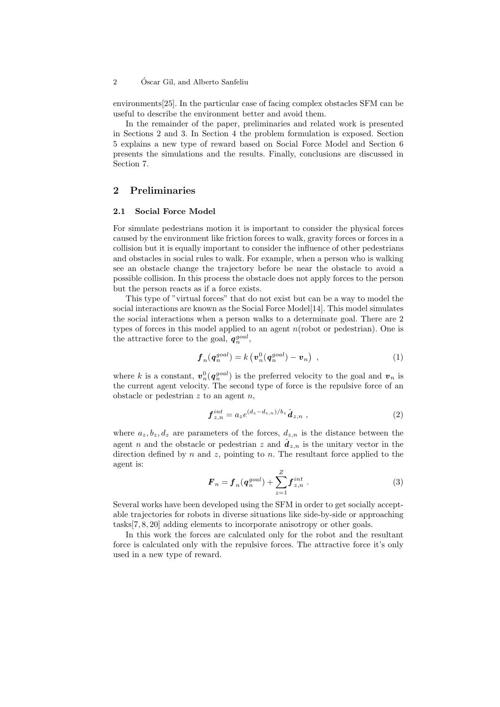#### 2 Óscar Gil, and Alberto Sanfeliu

environments[25]. In the particular case of facing complex obstacles SFM can be useful to describe the environment better and avoid them.

In the remainder of the paper, preliminaries and related work is presented in Sections 2 and 3. In Section 4 the problem formulation is exposed. Section 5 explains a new type of reward based on Social Force Model and Section 6 presents the simulations and the results. Finally, conclusions are discussed in Section 7.

# 2 Preliminaries

#### 2.1 Social Force Model

For simulate pedestrians motion it is important to consider the physical forces caused by the environment like friction forces to walk, gravity forces or forces in a collision but it is equally important to consider the influence of other pedestrians and obstacles in social rules to walk. For example, when a person who is walking see an obstacle change the trajectory before be near the obstacle to avoid a possible collision. In this process the obstacle does not apply forces to the person but the person reacts as if a force exists.

This type of "virtual forces" that do not exist but can be a way to model the social interactions are known as the Social Force Model[14]. This model simulates the social interactions when a person walks to a determinate goal. There are 2 types of forces in this model applied to an agent  $n$  (robot or pedestrian). One is the attractive force to the goal,  $q_n^{goal}$ ,

$$
\boldsymbol{f}_n(\boldsymbol{q}_n^{goal}) = k(\boldsymbol{v}_n^0(\boldsymbol{q}_n^{goal}) - \boldsymbol{v}_n), \qquad (1)
$$

where k is a constant,  $\mathbf{v}_n^0(\mathbf{q}_n^{goal})$  is the preferred velocity to the goal and  $\mathbf{v}_n$  is the current agent velocity. The second type of force is the repulsive force of an obstacle or pedestrian  $z$  to an agent  $n$ ,

$$
\boldsymbol{f}_{z,n}^{int} = a_z e^{(d_z - d_{z,n})/b_z} \hat{\boldsymbol{d}}_{z,n} \tag{2}
$$

where  $a_z, b_z, d_z$  are parameters of the forces,  $d_{z,n}$  is the distance between the agent n and the obstacle or pedestrian z and  $\hat{d}_{z,n}$  is the unitary vector in the direction defined by  $n$  and  $z$ , pointing to  $n$ . The resultant force applied to the agent is:

$$
\boldsymbol{F}_n = \boldsymbol{f}_n(\boldsymbol{q}_n^{goal}) + \sum_{z=1}^{Z} \boldsymbol{f}_{z,n}^{int} \ . \tag{3}
$$

Several works have been developed using the SFM in order to get socially acceptable trajectories for robots in diverse situations like side-by-side or approaching tasks[7, 8, 20] adding elements to incorporate anisotropy or other goals.

In this work the forces are calculated only for the robot and the resultant force is calculated only with the repulsive forces. The attractive force it's only used in a new type of reward.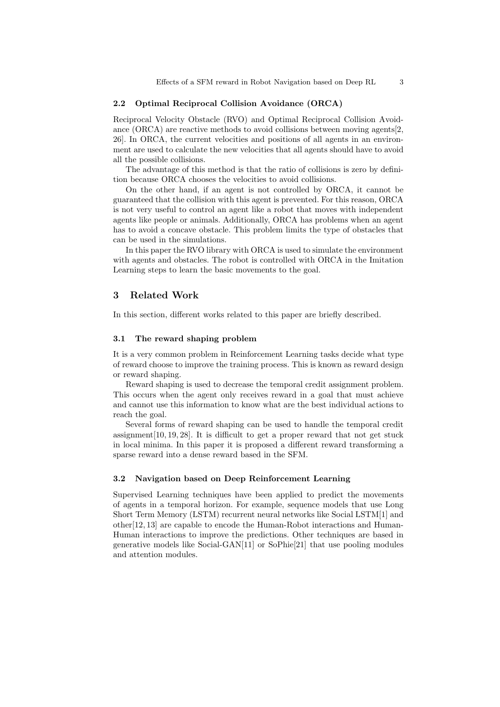#### 2.2 Optimal Reciprocal Collision Avoidance (ORCA)

Reciprocal Velocity Obstacle (RVO) and Optimal Reciprocal Collision Avoidance (ORCA) are reactive methods to avoid collisions between moving agents[2, 26]. In ORCA, the current velocities and positions of all agents in an environment are used to calculate the new velocities that all agents should have to avoid all the possible collisions.

The advantage of this method is that the ratio of collisions is zero by definition because ORCA chooses the velocities to avoid collisions.

On the other hand, if an agent is not controlled by ORCA, it cannot be guaranteed that the collision with this agent is prevented. For this reason, ORCA is not very useful to control an agent like a robot that moves with independent agents like people or animals. Additionally, ORCA has problems when an agent has to avoid a concave obstacle. This problem limits the type of obstacles that can be used in the simulations.

In this paper the RVO library with ORCA is used to simulate the environment with agents and obstacles. The robot is controlled with ORCA in the Imitation Learning steps to learn the basic movements to the goal.

## 3 Related Work

In this section, different works related to this paper are briefly described.

#### 3.1 The reward shaping problem

It is a very common problem in Reinforcement Learning tasks decide what type of reward choose to improve the training process. This is known as reward design or reward shaping.

Reward shaping is used to decrease the temporal credit assignment problem. This occurs when the agent only receives reward in a goal that must achieve and cannot use this information to know what are the best individual actions to reach the goal.

Several forms of reward shaping can be used to handle the temporal credit assignment[10, 19, 28]. It is difficult to get a proper reward that not get stuck in local minima. In this paper it is proposed a different reward transforming a sparse reward into a dense reward based in the SFM.

#### 3.2 Navigation based on Deep Reinforcement Learning

Supervised Learning techniques have been applied to predict the movements of agents in a temporal horizon. For example, sequence models that use Long Short Term Memory (LSTM) recurrent neural networks like Social LSTM[1] and other[12, 13] are capable to encode the Human-Robot interactions and Human-Human interactions to improve the predictions. Other techniques are based in generative models like Social-GAN[11] or SoPhie[21] that use pooling modules and attention modules.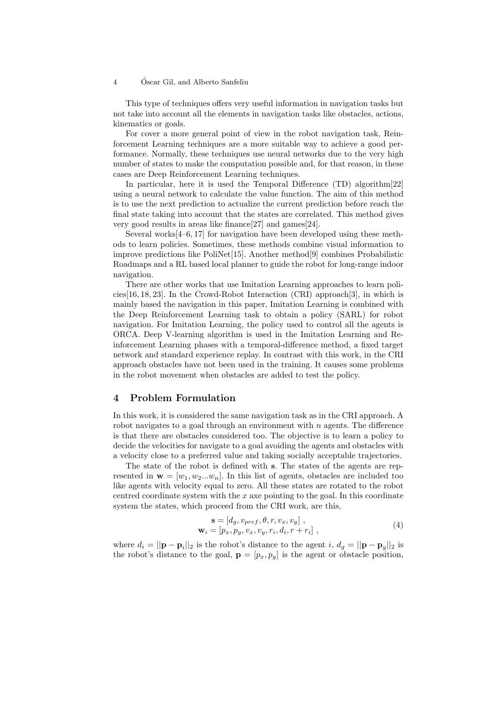#### 4 Oscar Gil, and Alberto Sanfeliu ´

This type of techniques offers very useful information in navigation tasks but not take into account all the elements in navigation tasks like obstacles, actions, kinematics or goals.

For cover a more general point of view in the robot navigation task, Reinforcement Learning techniques are a more suitable way to achieve a good performance. Normally, these techniques use neural networks due to the very high number of states to make the computation possible and, for that reason, in these cases are Deep Reinforcement Learning techniques.

In particular, here it is used the Temporal Difference (TD) algorithm[22] using a neural network to calculate the value function. The aim of this method is to use the next prediction to actualize the current prediction before reach the final state taking into account that the states are correlated. This method gives very good results in areas like finance[27] and games[24].

Several works[4–6, 17] for navigation have been developed using these methods to learn policies. Sometimes, these methods combine visual information to improve predictions like PoliNet[15]. Another method[9] combines Probabilistic Roadmaps and a RL based local planner to guide the robot for long-range indoor navigation.

There are other works that use Imitation Learning approaches to learn policies[16, 18, 23]. In the Crowd-Robot Interaction (CRI) approach[3], in which is mainly based the navigation in this paper, Imitation Learning is combined with the Deep Reinforcement Learning task to obtain a policy (SARL) for robot navigation. For Imitation Learning, the policy used to control all the agents is ORCA. Deep V-learning algorithm is used in the Imitation Learning and Reinforcement Learning phases with a temporal-difference method, a fixed target network and standard experience replay. In contrast with this work, in the CRI approach obstacles have not been used in the training. It causes some problems in the robot movement when obstacles are added to test the policy.

# 4 Problem Formulation

In this work, it is considered the same navigation task as in the CRI approach. A robot navigates to a goal through an environment with  $n$  agents. The difference is that there are obstacles considered too. The objective is to learn a policy to decide the velocities for navigate to a goal avoiding the agents and obstacles with a velocity close to a preferred value and taking socially acceptable trajectories.

The state of the robot is defined with s. The states of the agents are represented in  $\mathbf{w} = [w_1, w_2...w_n]$ . In this list of agents, obstacles are included too like agents with velocity equal to zero. All these states are rotated to the robot centred coordinate system with the  $x$  axe pointing to the goal. In this coordinate system the states, which proceed from the CRI work, are this,

$$
\mathbf{s} = [d_g, v_{pref}, \theta, r, v_x, v_y],\n\mathbf{w}_i = [p_x, p_y, v_x, v_y, r_i, d_i, r + r_i],
$$
\n(4)

where  $d_i = ||\mathbf{p} - \mathbf{p}_i||_2$  is the robot's distance to the agent i,  $d_g = ||\mathbf{p} - \mathbf{p}_g||_2$  is the robot's distance to the goal,  $\mathbf{p} = [p_x, p_y]$  is the agent or obstacle position,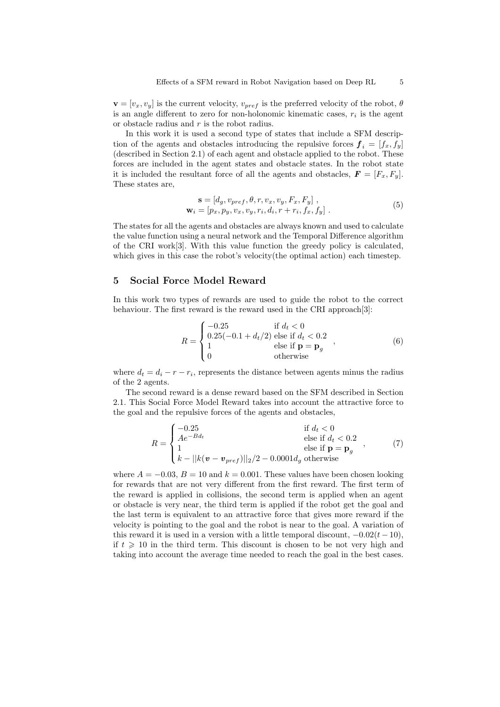$\mathbf{v} = [v_x, v_y]$  is the current velocity,  $v_{pref}$  is the preferred velocity of the robot,  $\theta$ is an angle different to zero for non-holonomic kinematic cases,  $r_i$  is the agent or obstacle radius and  $r$  is the robot radius.

In this work it is used a second type of states that include a SFM description of the agents and obstacles introducing the repulsive forces  $f_i = [f_x, f_y]$ (described in Section 2.1) of each agent and obstacle applied to the robot. These forces are included in the agent states and obstacle states. In the robot state it is included the resultant force of all the agents and obstacles,  $\mathbf{F} = [F_x, F_y]$ . These states are,

$$
\mathbf{s} = [d_g, v_{pref}, \theta, r, v_x, v_y, F_x, F_y],
$$
  

$$
\mathbf{w}_i = [p_x, p_y, v_x, v_y, r_i, d_i, r + r_i, f_x, f_y].
$$
 (5)

The states for all the agents and obstacles are always known and used to calculate the value function using a neural network and the Temporal Difference algorithm of the CRI work[3]. With this value function the greedy policy is calculated, which gives in this case the robot's velocity(the optimal action) each timestep.

# 5 Social Force Model Reward

In this work two types of rewards are used to guide the robot to the correct behaviour. The first reward is the reward used in the CRI approach[3]:

$$
R = \begin{cases}\n-0.25 & \text{if } d_t < 0 \\
0.25(-0.1 + d_t/2) & \text{else if } d_t < 0.2 \\
1 & \text{else if } \mathbf{p} = \mathbf{p}_g \\
0 & \text{otherwise}\n\end{cases}
$$
\n(6)

where  $d_t = d_i - r - r_i$ , represents the distance between agents minus the radius of the 2 agents.

The second reward is a dense reward based on the SFM described in Section 2.1. This Social Force Model Reward takes into account the attractive force to the goal and the repulsive forces of the agents and obstacles,

$$
R = \begin{cases} -0.25 & \text{if } d_t < 0\\ Ae^{-Bd_t} & \text{else if } d_t < 0\\ 1 & \text{else if } \mathbf{p} = \mathbf{p}_g\\ k - ||k(\mathbf{v} - \mathbf{v}_{pref})||_2/2 - 0.0001d_g \text{ otherwise} \end{cases}
$$
(7)

where  $A = -0.03$ ,  $B = 10$  and  $k = 0.001$ . These values have been chosen looking for rewards that are not very different from the first reward. The first term of the reward is applied in collisions, the second term is applied when an agent or obstacle is very near, the third term is applied if the robot get the goal and the last term is equivalent to an attractive force that gives more reward if the velocity is pointing to the goal and the robot is near to the goal. A variation of this reward it is used in a version with a little temporal discount,  $-0.02(t-10)$ , if  $t \geq 10$  in the third term. This discount is chosen to be not very high and taking into account the average time needed to reach the goal in the best cases.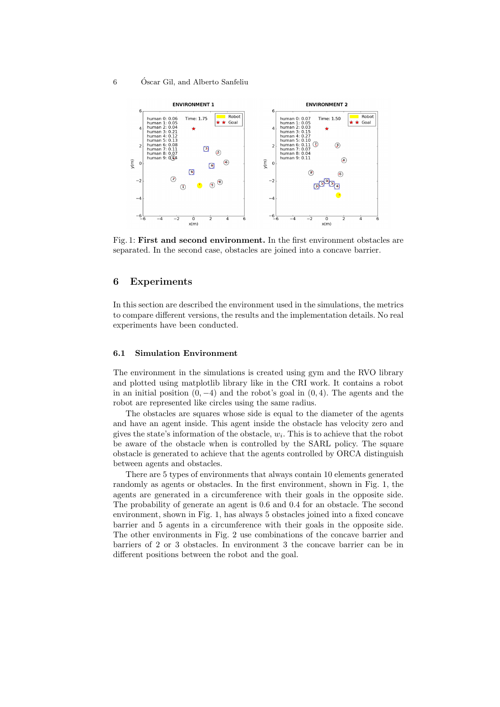#### 6 Oscar Gil, and Alberto Sanfeliu ´



Fig. 1: First and second environment. In the first environment obstacles are separated. In the second case, obstacles are joined into a concave barrier.

## 6 Experiments

In this section are described the environment used in the simulations, the metrics to compare different versions, the results and the implementation details. No real experiments have been conducted.

### 6.1 Simulation Environment

The environment in the simulations is created using gym and the RVO library and plotted using matplotlib library like in the CRI work. It contains a robot in an initial position  $(0, -4)$  and the robot's goal in  $(0, 4)$ . The agents and the robot are represented like circles using the same radius.

The obstacles are squares whose side is equal to the diameter of the agents and have an agent inside. This agent inside the obstacle has velocity zero and gives the state's information of the obstacle,  $w_i$ . This is to achieve that the robot be aware of the obstacle when is controlled by the SARL policy. The square obstacle is generated to achieve that the agents controlled by ORCA distinguish between agents and obstacles.

There are 5 types of environments that always contain 10 elements generated randomly as agents or obstacles. In the first environment, shown in Fig. 1, the agents are generated in a circumference with their goals in the opposite side. The probability of generate an agent is 0.6 and 0.4 for an obstacle. The second environment, shown in Fig. 1, has always 5 obstacles joined into a fixed concave barrier and 5 agents in a circumference with their goals in the opposite side. The other environments in Fig. 2 use combinations of the concave barrier and barriers of 2 or 3 obstacles. In environment 3 the concave barrier can be in different positions between the robot and the goal.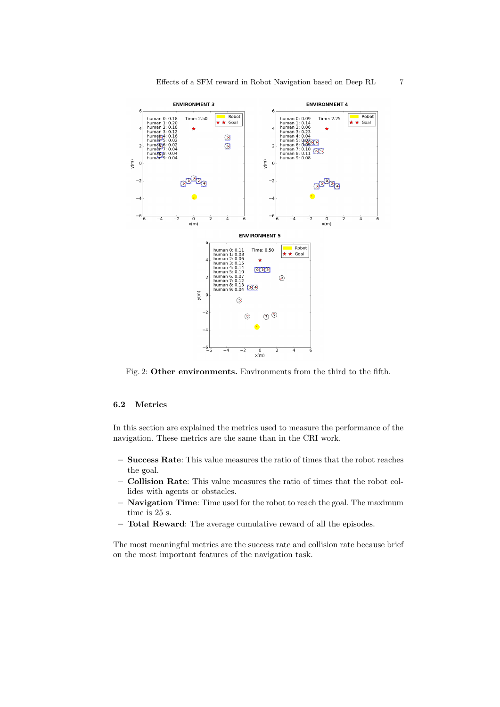

Fig. 2: Other environments. Environments from the third to the fifth.

#### 6.2 Metrics

In this section are explained the metrics used to measure the performance of the navigation. These metrics are the same than in the CRI work.

- Success Rate: This value measures the ratio of times that the robot reaches the goal.
- Collision Rate: This value measures the ratio of times that the robot collides with agents or obstacles.
- Navigation Time: Time used for the robot to reach the goal. The maximum time is 25 s.
- Total Reward: The average cumulative reward of all the episodes.

The most meaningful metrics are the success rate and collision rate because brief on the most important features of the navigation task.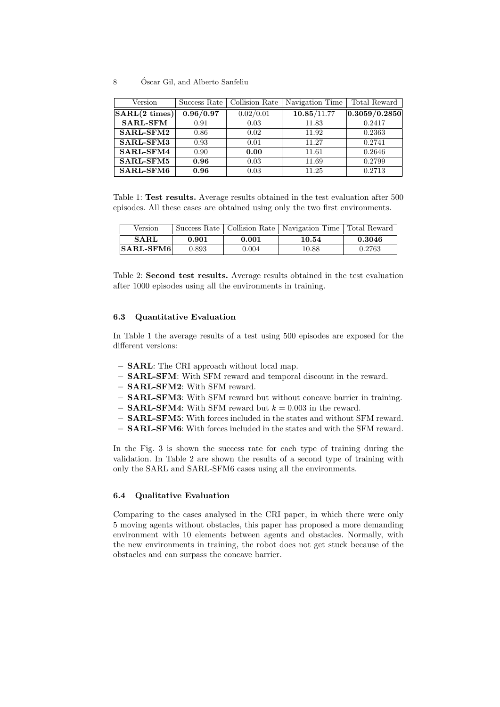#### 8 Oscar Gil, and Alberto Sanfeliu ´

| Version                 | Success Rate | Collision Rate | Navigation Time | Total Reward  |
|-------------------------|--------------|----------------|-----------------|---------------|
| $SARL(2 \text{ times})$ | 0.96/0.97    | 0.02/0.01      | 10.85/11.77     | 0.3059/0.2850 |
| <b>SARL-SFM</b>         | 0.91         | 0.03           | 11.83           | 0.2417        |
| SARL-SFM2               | 0.86         | 0.02           | 11.92           | 0.2363        |
| SARL-SFM3               | 0.93         | 0.01           | 11.27           | 0.2741        |
| $SARL-SFM4$             | 0.90         | 0.00           | 11.61           | 0.2646        |
| $SARL-SFM5$             | 0.96         | 0.03           | 11.69           | 0.2799        |
| SARL-SFM6               | 0.96         | 0.03           | 11.25           | 0.2713        |

Table 1: Test results. Average results obtained in the test evaluation after 500 episodes. All these cases are obtained using only the two first environments.

| Version                                |       |       | Success Rate   Collision Rate   Navigation Time   Total Reward |        |
|----------------------------------------|-------|-------|----------------------------------------------------------------|--------|
| <b>SARL</b>                            | 0.901 | 0.001 | 10.54                                                          | 0.3046 |
| $ \mathbf{SARL}\text{-}\mathbf{SFM6} $ | 0.893 | 0.004 | 10.88                                                          | 0.2763 |

Table 2: Second test results. Average results obtained in the test evaluation after 1000 episodes using all the environments in training.

#### 6.3 Quantitative Evaluation

In Table 1 the average results of a test using 500 episodes are exposed for the different versions:

- SARL: The CRI approach without local map.
- SARL-SFM: With SFM reward and temporal discount in the reward.
- SARL-SFM2: With SFM reward.
- SARL-SFM3: With SFM reward but without concave barrier in training.
- **SARL-SFM4**: With SFM reward but  $k = 0.003$  in the reward.
- SARL-SFM5: With forces included in the states and without SFM reward.
- SARL-SFM6: With forces included in the states and with the SFM reward.

In the Fig. 3 is shown the success rate for each type of training during the validation. In Table 2 are shown the results of a second type of training with only the SARL and SARL-SFM6 cases using all the environments.

## 6.4 Qualitative Evaluation

Comparing to the cases analysed in the CRI paper, in which there were only 5 moving agents without obstacles, this paper has proposed a more demanding environment with 10 elements between agents and obstacles. Normally, with the new environments in training, the robot does not get stuck because of the obstacles and can surpass the concave barrier.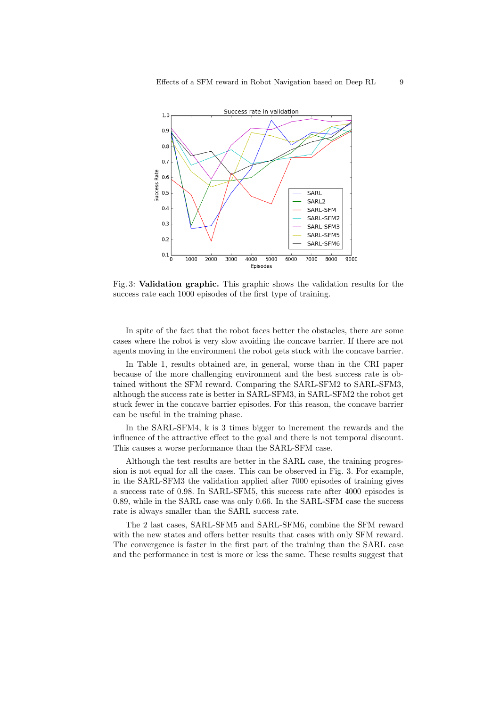

Fig. 3: Validation graphic. This graphic shows the validation results for the success rate each 1000 episodes of the first type of training.

In spite of the fact that the robot faces better the obstacles, there are some cases where the robot is very slow avoiding the concave barrier. If there are not agents moving in the environment the robot gets stuck with the concave barrier.

In Table 1, results obtained are, in general, worse than in the CRI paper because of the more challenging environment and the best success rate is obtained without the SFM reward. Comparing the SARL-SFM2 to SARL-SFM3, although the success rate is better in SARL-SFM3, in SARL-SFM2 the robot get stuck fewer in the concave barrier episodes. For this reason, the concave barrier can be useful in the training phase.

In the SARL-SFM4, k is 3 times bigger to increment the rewards and the influence of the attractive effect to the goal and there is not temporal discount. This causes a worse performance than the SARL-SFM case.

Although the test results are better in the SARL case, the training progression is not equal for all the cases. This can be observed in Fig. 3. For example, in the SARL-SFM3 the validation applied after 7000 episodes of training gives a success rate of 0.98. In SARL-SFM5, this success rate after 4000 episodes is 0.89, while in the SARL case was only 0.66. In the SARL-SFM case the success rate is always smaller than the SARL success rate.

The 2 last cases, SARL-SFM5 and SARL-SFM6, combine the SFM reward with the new states and offers better results that cases with only SFM reward. The convergence is faster in the first part of the training than the SARL case and the performance in test is more or less the same. These results suggest that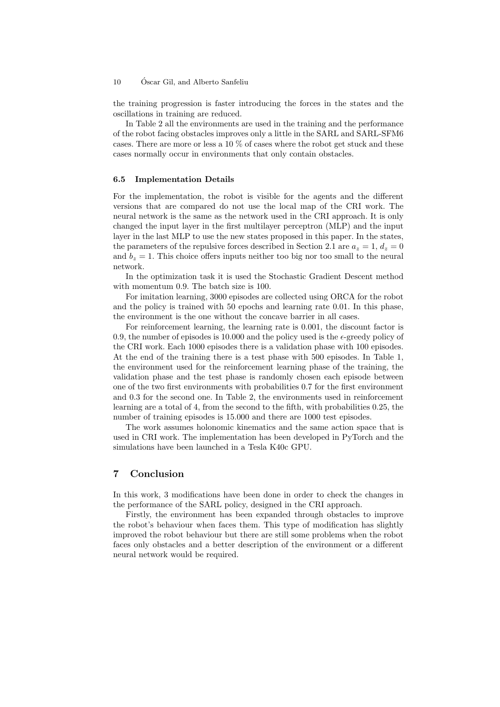#### 10 Óscar Gil, and Alberto Sanfeliu

the training progression is faster introducing the forces in the states and the oscillations in training are reduced.

In Table 2 all the environments are used in the training and the performance of the robot facing obstacles improves only a little in the SARL and SARL-SFM6 cases. There are more or less a 10 % of cases where the robot get stuck and these cases normally occur in environments that only contain obstacles.

#### 6.5 Implementation Details

For the implementation, the robot is visible for the agents and the different versions that are compared do not use the local map of the CRI work. The neural network is the same as the network used in the CRI approach. It is only changed the input layer in the first multilayer perceptron (MLP) and the input layer in the last MLP to use the new states proposed in this paper. In the states, the parameters of the repulsive forces described in Section 2.1 are  $a_z = 1, d_z = 0$ and  $b_z = 1$ . This choice offers inputs neither too big nor too small to the neural network.

In the optimization task it is used the Stochastic Gradient Descent method with momentum 0.9. The batch size is 100.

For imitation learning, 3000 episodes are collected using ORCA for the robot and the policy is trained with 50 epochs and learning rate 0.01. In this phase, the environment is the one without the concave barrier in all cases.

For reinforcement learning, the learning rate is 0.001, the discount factor is 0.9, the number of episodes is 10,000 and the policy used is the  $\epsilon$ -greedy policy of the CRI work. Each 1000 episodes there is a validation phase with 100 episodes. At the end of the training there is a test phase with 500 episodes. In Table 1, the environment used for the reinforcement learning phase of the training, the validation phase and the test phase is randomly chosen each episode between one of the two first environments with probabilities 0.7 for the first environment and 0.3 for the second one. In Table 2, the environments used in reinforcement learning are a total of 4, from the second to the fifth, with probabilities 0.25, the number of training episodes is 15.000 and there are 1000 test episodes.

The work assumes holonomic kinematics and the same action space that is used in CRI work. The implementation has been developed in PyTorch and the simulations have been launched in a Tesla K40c GPU.

# 7 Conclusion

In this work, 3 modifications have been done in order to check the changes in the performance of the SARL policy, designed in the CRI approach.

Firstly, the environment has been expanded through obstacles to improve the robot's behaviour when faces them. This type of modification has slightly improved the robot behaviour but there are still some problems when the robot faces only obstacles and a better description of the environment or a different neural network would be required.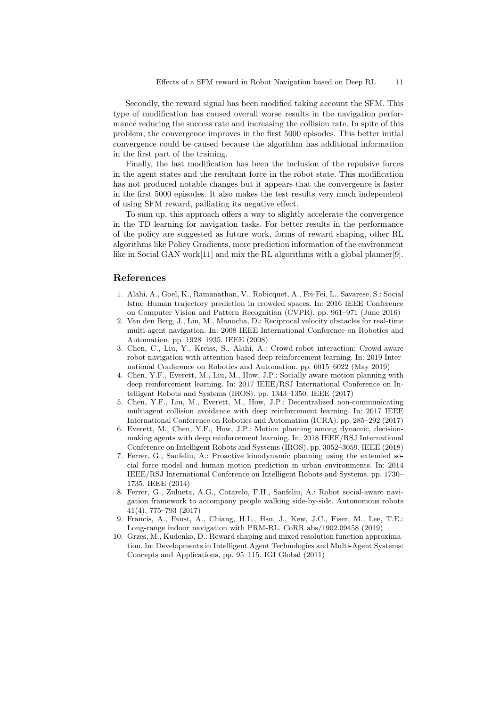Secondly, the reward signal has been modified taking account the SFM. This type of modification has caused overall worse results in the navigation performance reducing the success rate and increasing the collision rate. In spite of this problem, the convergence improves in the first 5000 episodes. This better initial convergence could be caused because the algorithm has additional information in the first part of the training.

Finally, the last modification has been the inclusion of the repulsive forces in the agent states and the resultant force in the robot state. This modification has not produced notable changes but it appears that the convergence is faster in the first 5000 episodes. It also makes the test results very much independent of using SFM reward, palliating its negative effect.

To sum up, this approach offers a way to slightly accelerate the convergence in the TD learning for navigation tasks. For better results in the performance of the policy are suggested as future work, forms of reward shaping, other RL algorithms like Policy Gradients, more prediction information of the environment like in Social GAN work[11] and mix the RL algorithms with a global planner[9].

#### References

- 1. Alahi, A., Goel, K., Ramanathan, V., Robicquet, A., Fei-Fei, L., Savarese, S.: Social lstm: Human trajectory prediction in crowded spaces. In: 2016 IEEE Conference on Computer Vision and Pattern Recognition (CVPR). pp. 961–971 (June 2016)
- 2. Van den Berg, J., Lin, M., Manocha, D.: Reciprocal velocity obstacles for real-time multi-agent navigation. In: 2008 IEEE International Conference on Robotics and Automation. pp. 1928–1935. IEEE (2008)
- 3. Chen, C., Liu, Y., Kreiss, S., Alahi, A.: Crowd-robot interaction: Crowd-aware robot navigation with attention-based deep reinforcement learning. In: 2019 International Conference on Robotics and Automation. pp. 6015–6022 (May 2019)
- 4. Chen, Y.F., Everett, M., Liu, M., How, J.P.: Socially aware motion planning with deep reinforcement learning. In: 2017 IEEE/RSJ International Conference on Intelligent Robots and Systems (IROS). pp. 1343–1350. IEEE (2017)
- 5. Chen, Y.F., Liu, M., Everett, M., How, J.P.: Decentralized non-communicating multiagent collision avoidance with deep reinforcement learning. In: 2017 IEEE International Conference on Robotics and Automation (ICRA). pp. 285–292 (2017)
- 6. Everett, M., Chen, Y.F., How, J.P.: Motion planning among dynamic, decisionmaking agents with deep reinforcement learning. In: 2018 IEEE/RSJ International Conference on Intelligent Robots and Systems (IROS). pp. 3052–3059. IEEE (2018)
- 7. Ferrer, G., Sanfeliu, A.: Proactive kinodynamic planning using the extended social force model and human motion prediction in urban environments. In: 2014 IEEE/RSJ International Conference on Intelligent Robots and Systems. pp. 1730– 1735. IEEE (2014)
- 8. Ferrer, G., Zulueta, A.G., Cotarelo, F.H., Sanfeliu, A.: Robot social-aware navigation framework to accompany people walking side-by-side. Autonomous robots 41(4), 775–793 (2017)
- 9. Francis, A., Faust, A., Chiang, H.L., Hsu, J., Kew, J.C., Fiser, M., Lee, T.E.: Long-range indoor navigation with PRM-RL. CoRR abs/1902.09458 (2019)
- 10. Grzes, M., Kudenko, D.: Reward shaping and mixed resolution function approximation. In: Developments in Intelligent Agent Technologies and Multi-Agent Systems: Concepts and Applications, pp. 95–115. IGI Global (2011)